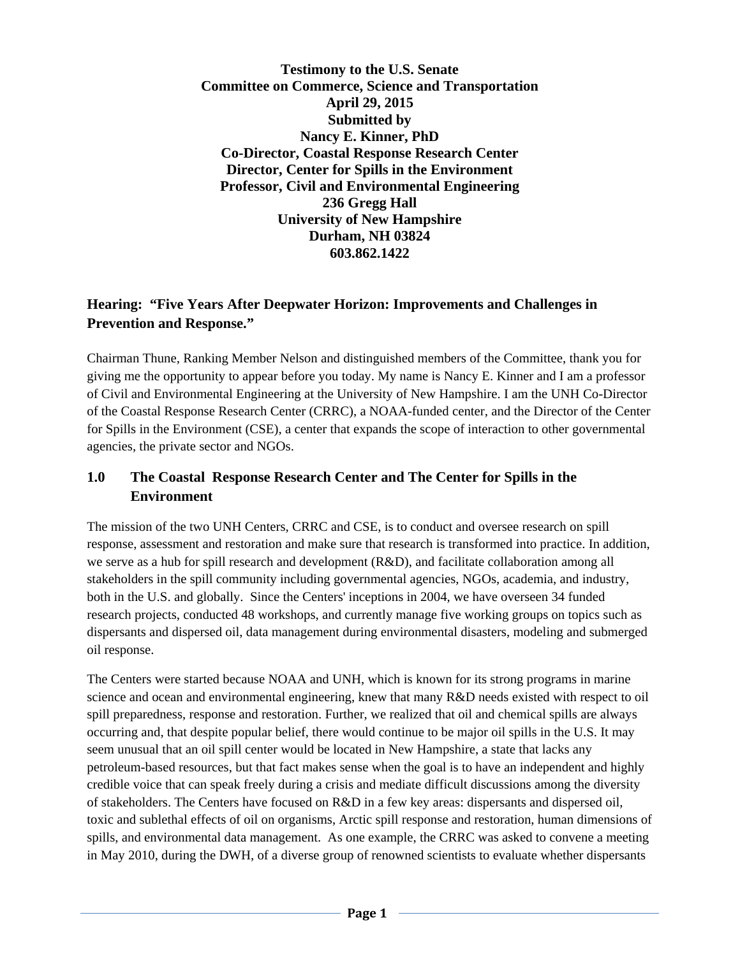**Testimony to the U.S. Senate Committee on Commerce, Science and Transportation April 29, 2015 Submitted by Nancy E. Kinner, PhD Co-Director, Coastal Response Research Center Director, Center for Spills in the Environment Professor, Civil and Environmental Engineering 236 Gregg Hall University of New Hampshire Durham, NH 03824 603.862.1422** 

### **Hearing: "Five Years After Deepwater Horizon: Improvements and Challenges in Prevention and Response."**

Chairman Thune, Ranking Member Nelson and distinguished members of the Committee, thank you for giving me the opportunity to appear before you today. My name is Nancy E. Kinner and I am a professor of Civil and Environmental Engineering at the University of New Hampshire. I am the UNH Co-Director of the Coastal Response Research Center (CRRC), a NOAA-funded center, and the Director of the Center for Spills in the Environment (CSE), a center that expands the scope of interaction to other governmental agencies, the private sector and NGOs.

# **1.0 The Coastal Response Research Center and The Center for Spills in the Environment**

The mission of the two UNH Centers, CRRC and CSE, is to conduct and oversee research on spill response, assessment and restoration and make sure that research is transformed into practice. In addition, we serve as a hub for spill research and development (R&D), and facilitate collaboration among all stakeholders in the spill community including governmental agencies, NGOs, academia, and industry, both in the U.S. and globally. Since the Centers' inceptions in 2004, we have overseen 34 funded research projects, conducted 48 workshops, and currently manage five working groups on topics such as dispersants and dispersed oil, data management during environmental disasters, modeling and submerged oil response.

The Centers were started because NOAA and UNH, which is known for its strong programs in marine science and ocean and environmental engineering, knew that many R&D needs existed with respect to oil spill preparedness, response and restoration. Further, we realized that oil and chemical spills are always occurring and, that despite popular belief, there would continue to be major oil spills in the U.S. It may seem unusual that an oil spill center would be located in New Hampshire, a state that lacks any petroleum-based resources, but that fact makes sense when the goal is to have an independent and highly credible voice that can speak freely during a crisis and mediate difficult discussions among the diversity of stakeholders. The Centers have focused on R&D in a few key areas: dispersants and dispersed oil, toxic and sublethal effects of oil on organisms, Arctic spill response and restoration, human dimensions of spills, and environmental data management. As one example, the CRRC was asked to convene a meeting in May 2010, during the DWH, of a diverse group of renowned scientists to evaluate whether dispersants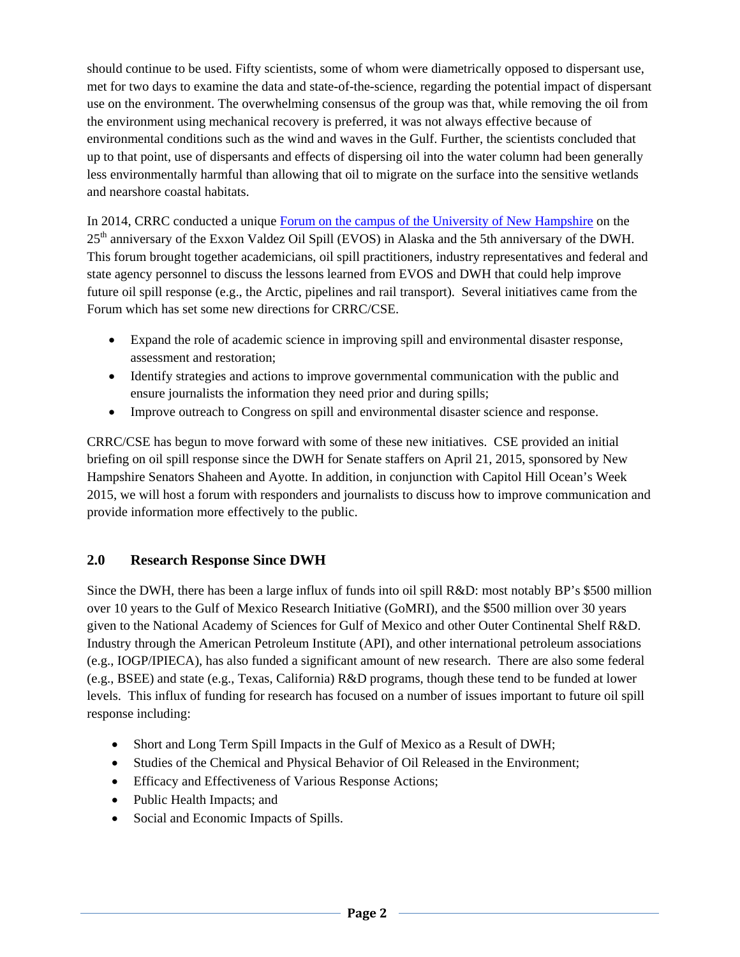should continue to be used. Fifty scientists, some of whom were diametrically opposed to dispersant use, met for two days to examine the data and state-of-the-science, regarding the potential impact of dispersant use on the environment. The overwhelming consensus of the group was that, while removing the oil from the environment using mechanical recovery is preferred, it was not always effective because of environmental conditions such as the wind and waves in the Gulf. Further, the scientists concluded that up to that point, use of dispersants and effects of dispersing oil into the water column had been generally less environmentally harmful than allowing that oil to migrate on the surface into the sensitive wetlands and nearshore coastal habitats.

In 2014, CRRC conducted a unique Forum on the campus of the University of New Hampshire on the 25<sup>th</sup> anniversary of the Exxon Valdez Oil Spill (EVOS) in Alaska and the 5th anniversary of the DWH. This forum brought together academicians, oil spill practitioners, industry representatives and federal and state agency personnel to discuss the lessons learned from EVOS and DWH that could help improve future oil spill response (e.g., the Arctic, pipelines and rail transport). Several initiatives came from the Forum which has set some new directions for CRRC/CSE.

- Expand the role of academic science in improving spill and environmental disaster response, assessment and restoration;
- Identify strategies and actions to improve governmental communication with the public and ensure journalists the information they need prior and during spills;
- Improve outreach to Congress on spill and environmental disaster science and response.

CRRC/CSE has begun to move forward with some of these new initiatives. CSE provided an initial briefing on oil spill response since the DWH for Senate staffers on April 21, 2015, sponsored by New Hampshire Senators Shaheen and Ayotte. In addition, in conjunction with Capitol Hill Ocean's Week 2015, we will host a forum with responders and journalists to discuss how to improve communication and provide information more effectively to the public.

#### **2.0 Research Response Since DWH**

Since the DWH, there has been a large influx of funds into oil spill R&D: most notably BP's \$500 million over 10 years to the Gulf of Mexico Research Initiative (GoMRI), and the \$500 million over 30 years given to the National Academy of Sciences for Gulf of Mexico and other Outer Continental Shelf R&D. Industry through the American Petroleum Institute (API), and other international petroleum associations (e.g., IOGP/IPIECA), has also funded a significant amount of new research. There are also some federal (e.g., BSEE) and state (e.g., Texas, California) R&D programs, though these tend to be funded at lower levels. This influx of funding for research has focused on a number of issues important to future oil spill response including:

- Short and Long Term Spill Impacts in the Gulf of Mexico as a Result of DWH;
- Studies of the Chemical and Physical Behavior of Oil Released in the Environment;
- Efficacy and Effectiveness of Various Response Actions;
- Public Health Impacts; and
- Social and Economic Impacts of Spills.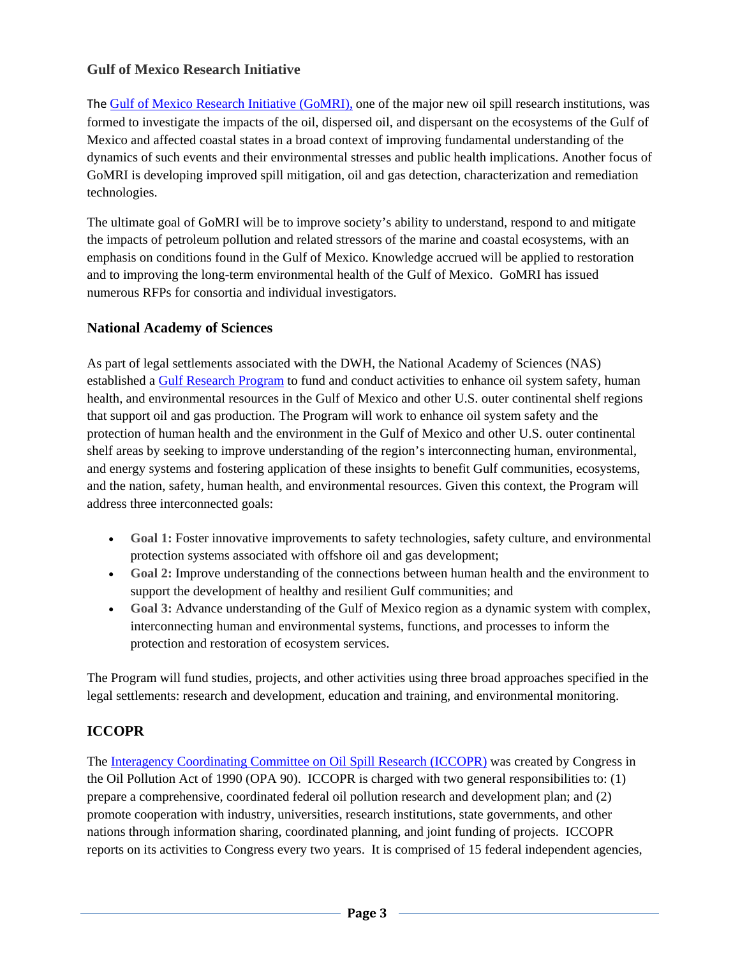### **Gulf of Mexico Research Initiative**

The Gulf of Mexico Research Initiative (GoMRI), one of the major new oil spill research institutions, was formed to investigate the impacts of the oil, dispersed oil, and dispersant on the ecosystems of the Gulf of Mexico and affected coastal states in a broad context of improving fundamental understanding of the dynamics of such events and their environmental stresses and public health implications. Another focus of GoMRI is developing improved spill mitigation, oil and gas detection, characterization and remediation technologies.

The ultimate goal of GoMRI will be to improve society's ability to understand, respond to and mitigate the impacts of petroleum pollution and related stressors of the marine and coastal ecosystems, with an emphasis on conditions found in the Gulf of Mexico. Knowledge accrued will be applied to restoration and to improving the long-term environmental health of the Gulf of Mexico. GoMRI has issued numerous RFPs for consortia and individual investigators.

#### **National Academy of Sciences**

As part of legal settlements associated with the DWH, the National Academy of Sciences (NAS) established a Gulf Research Program to fund and conduct activities to enhance oil system safety, human health, and environmental resources in the Gulf of Mexico and other U.S. outer continental shelf regions that support oil and gas production. The Program will work to enhance oil system safety and the protection of human health and the environment in the Gulf of Mexico and other U.S. outer continental shelf areas by seeking to improve understanding of the region's interconnecting human, environmental, and energy systems and fostering application of these insights to benefit Gulf communities, ecosystems, and the nation, safety, human health, and environmental resources. Given this context, the Program will address three interconnected goals:

- **Goal 1:** Foster innovative improvements to safety technologies, safety culture, and environmental protection systems associated with offshore oil and gas development;
- **Goal 2:** Improve understanding of the connections between human health and the environment to support the development of healthy and resilient Gulf communities; and
- **Goal 3:** Advance understanding of the Gulf of Mexico region as a dynamic system with complex, interconnecting human and environmental systems, functions, and processes to inform the protection and restoration of ecosystem services.

The Program will fund studies, projects, and other activities using three broad approaches specified in the legal settlements: research and development, education and training, and environmental monitoring.

#### **ICCOPR**

The Interagency Coordinating Committee on Oil Spill Research (ICCOPR) was created by Congress in the Oil Pollution Act of 1990 (OPA 90). ICCOPR is charged with two general responsibilities to: (1) prepare a comprehensive, coordinated federal oil pollution research and development plan; and (2) promote cooperation with industry, universities, research institutions, state governments, and other nations through information sharing, coordinated planning, and joint funding of projects. ICCOPR reports on its activities to Congress every two years. It is comprised of 15 federal independent agencies,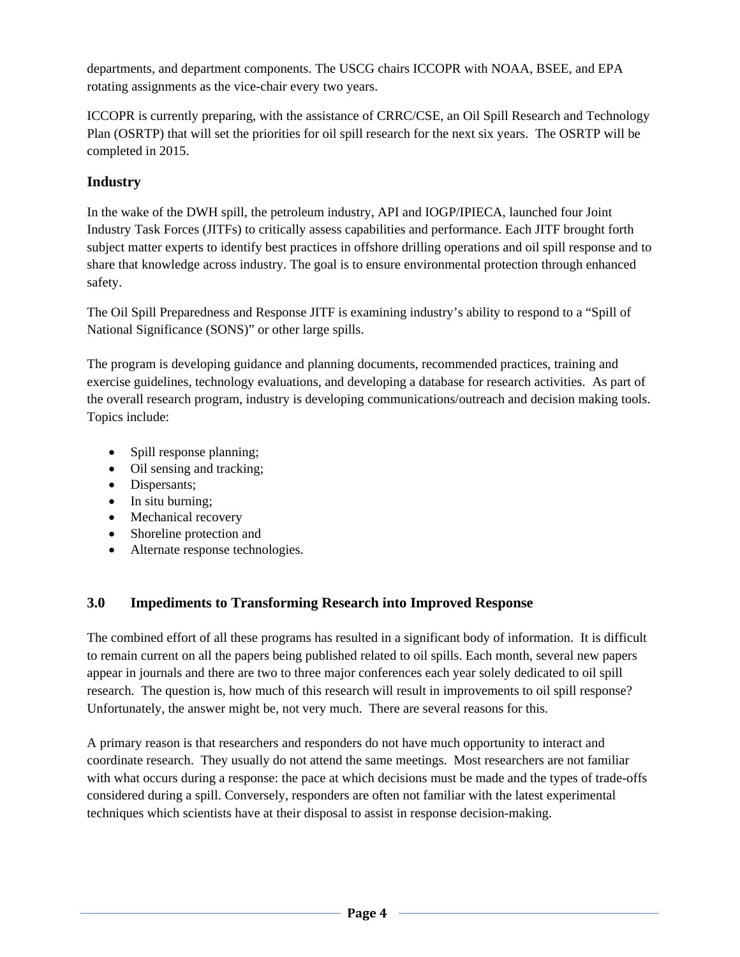departments, and department components. The USCG chairs ICCOPR with NOAA, BSEE, and EPA rotating assignments as the vice-chair every two years.

ICCOPR is currently preparing, with the assistance of CRRC/CSE, an Oil Spill Research and Technology Plan (OSRTP) that will set the priorities for oil spill research for the next six years. The OSRTP will be completed in 2015.

# **Industry**

In the wake of the DWH spill, the petroleum industry, API and IOGP/IPIECA, launched four Joint Industry Task Forces (JITFs) to critically assess capabilities and performance. Each JITF brought forth subject matter experts to identify best practices in offshore drilling operations and oil spill response and to share that knowledge across industry. The goal is to ensure environmental protection through enhanced safety.

The Oil Spill Preparedness and Response JITF is examining industry's ability to respond to a "Spill of National Significance (SONS)" or other large spills.

The program is developing guidance and planning documents, recommended practices, training and exercise guidelines, technology evaluations, and developing a database for research activities. As part of the overall research program, industry is developing communications/outreach and decision making tools. Topics include:

- Spill response planning;
- Oil sensing and tracking;
- Dispersants;
- In situ burning;
- Mechanical recovery
- Shoreline protection and
- Alternate response technologies.

# **3.0 Impediments to Transforming Research into Improved Response**

The combined effort of all these programs has resulted in a significant body of information. It is difficult to remain current on all the papers being published related to oil spills. Each month, several new papers appear in journals and there are two to three major conferences each year solely dedicated to oil spill research. The question is, how much of this research will result in improvements to oil spill response? Unfortunately, the answer might be, not very much. There are several reasons for this.

A primary reason is that researchers and responders do not have much opportunity to interact and coordinate research. They usually do not attend the same meetings. Most researchers are not familiar with what occurs during a response: the pace at which decisions must be made and the types of trade-offs considered during a spill. Conversely, responders are often not familiar with the latest experimental techniques which scientists have at their disposal to assist in response decision-making.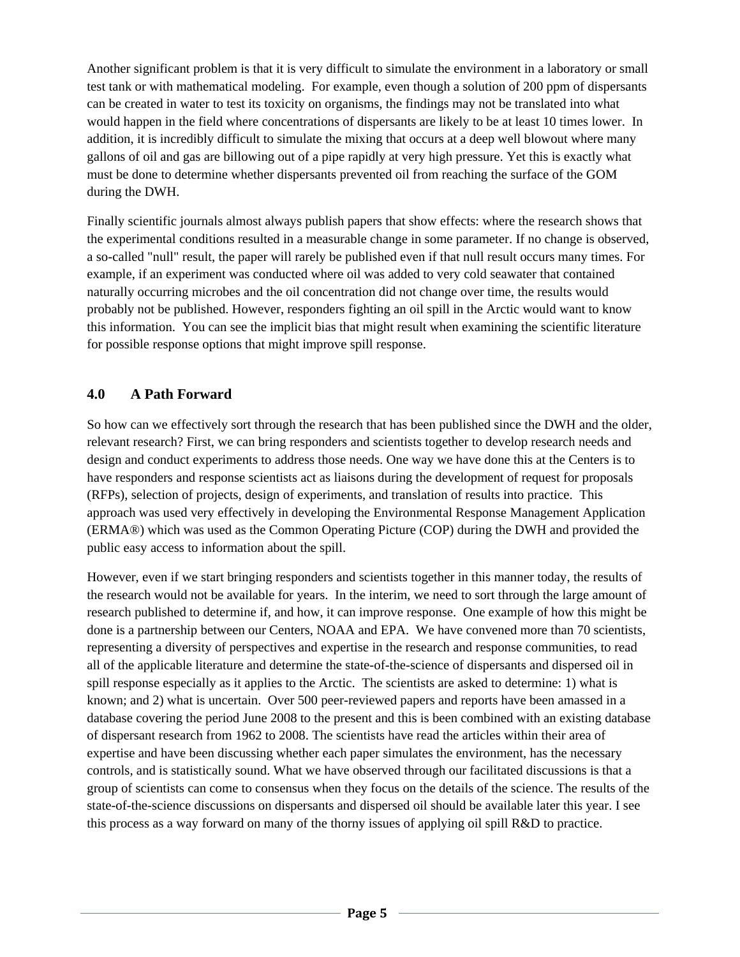Another significant problem is that it is very difficult to simulate the environment in a laboratory or small test tank or with mathematical modeling. For example, even though a solution of 200 ppm of dispersants can be created in water to test its toxicity on organisms, the findings may not be translated into what would happen in the field where concentrations of dispersants are likely to be at least 10 times lower. In addition, it is incredibly difficult to simulate the mixing that occurs at a deep well blowout where many gallons of oil and gas are billowing out of a pipe rapidly at very high pressure. Yet this is exactly what must be done to determine whether dispersants prevented oil from reaching the surface of the GOM during the DWH.

Finally scientific journals almost always publish papers that show effects: where the research shows that the experimental conditions resulted in a measurable change in some parameter. If no change is observed, a so-called "null" result, the paper will rarely be published even if that null result occurs many times. For example, if an experiment was conducted where oil was added to very cold seawater that contained naturally occurring microbes and the oil concentration did not change over time, the results would probably not be published. However, responders fighting an oil spill in the Arctic would want to know this information. You can see the implicit bias that might result when examining the scientific literature for possible response options that might improve spill response.

#### **4.0 A Path Forward**

So how can we effectively sort through the research that has been published since the DWH and the older, relevant research? First, we can bring responders and scientists together to develop research needs and design and conduct experiments to address those needs. One way we have done this at the Centers is to have responders and response scientists act as liaisons during the development of request for proposals (RFPs), selection of projects, design of experiments, and translation of results into practice. This approach was used very effectively in developing the Environmental Response Management Application (ERMA®) which was used as the Common Operating Picture (COP) during the DWH and provided the public easy access to information about the spill.

However, even if we start bringing responders and scientists together in this manner today, the results of the research would not be available for years. In the interim, we need to sort through the large amount of research published to determine if, and how, it can improve response. One example of how this might be done is a partnership between our Centers, NOAA and EPA. We have convened more than 70 scientists, representing a diversity of perspectives and expertise in the research and response communities, to read all of the applicable literature and determine the state-of-the-science of dispersants and dispersed oil in spill response especially as it applies to the Arctic. The scientists are asked to determine: 1) what is known; and 2) what is uncertain. Over 500 peer-reviewed papers and reports have been amassed in a database covering the period June 2008 to the present and this is been combined with an existing database of dispersant research from 1962 to 2008. The scientists have read the articles within their area of expertise and have been discussing whether each paper simulates the environment, has the necessary controls, and is statistically sound. What we have observed through our facilitated discussions is that a group of scientists can come to consensus when they focus on the details of the science. The results of the state-of-the-science discussions on dispersants and dispersed oil should be available later this year. I see this process as a way forward on many of the thorny issues of applying oil spill R&D to practice.